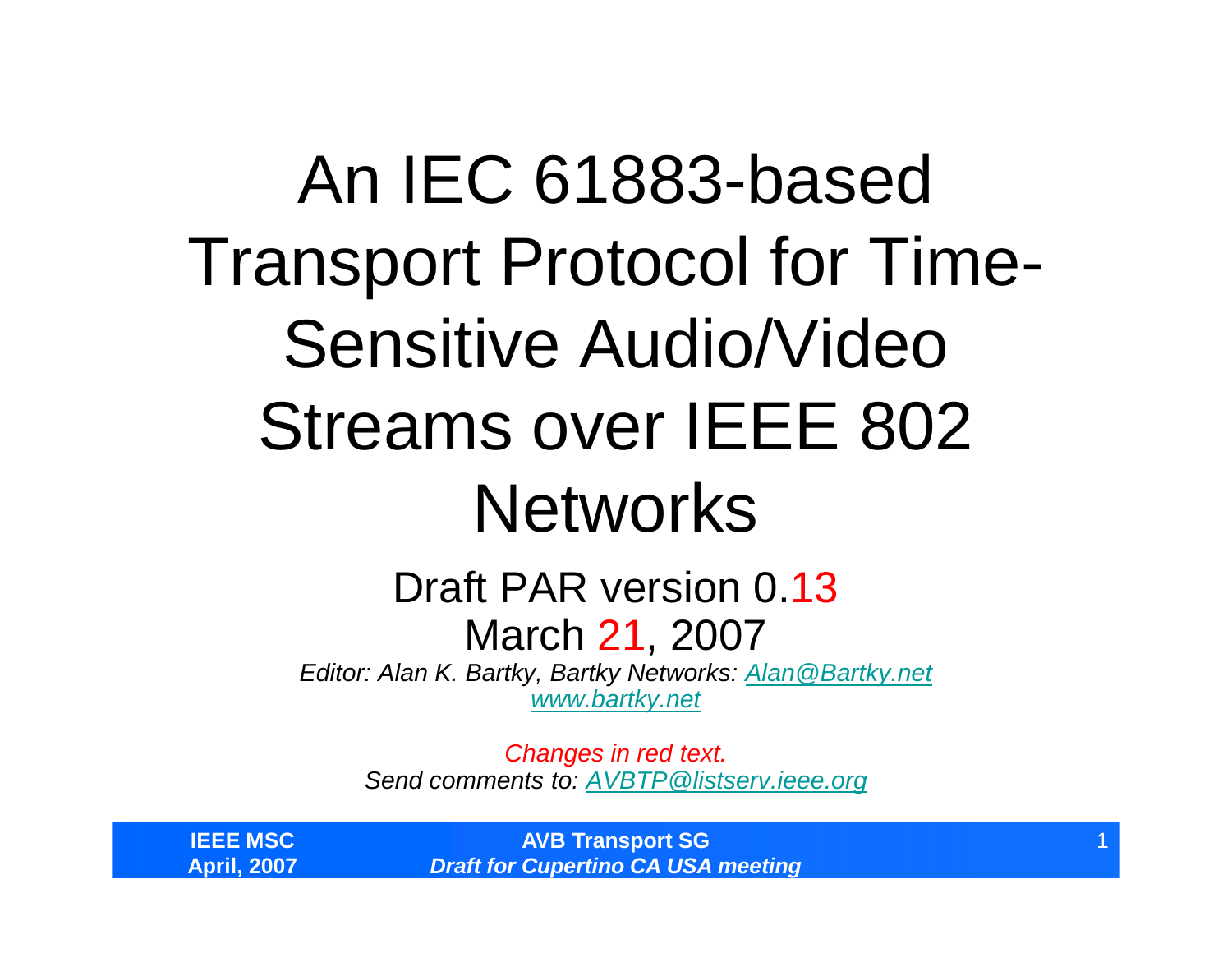### An IEC 61883-based Transport Protocol for Time-Sensitive Audio/Video Streams over IEEE 802 **Networks**

#### Draft PAR version 0.13 March 21, 2007

*Editor: Alan K. Bartky, Bartky Networks: Alan@Bartky.net www.bartky.net*

> *Changes in red text. Send comments to: AVBTP@listserv.ieee.org*

**IEEE MSC April, 2007**

**AVB Transport SG** *Draft for Cupertino CA USA meeting*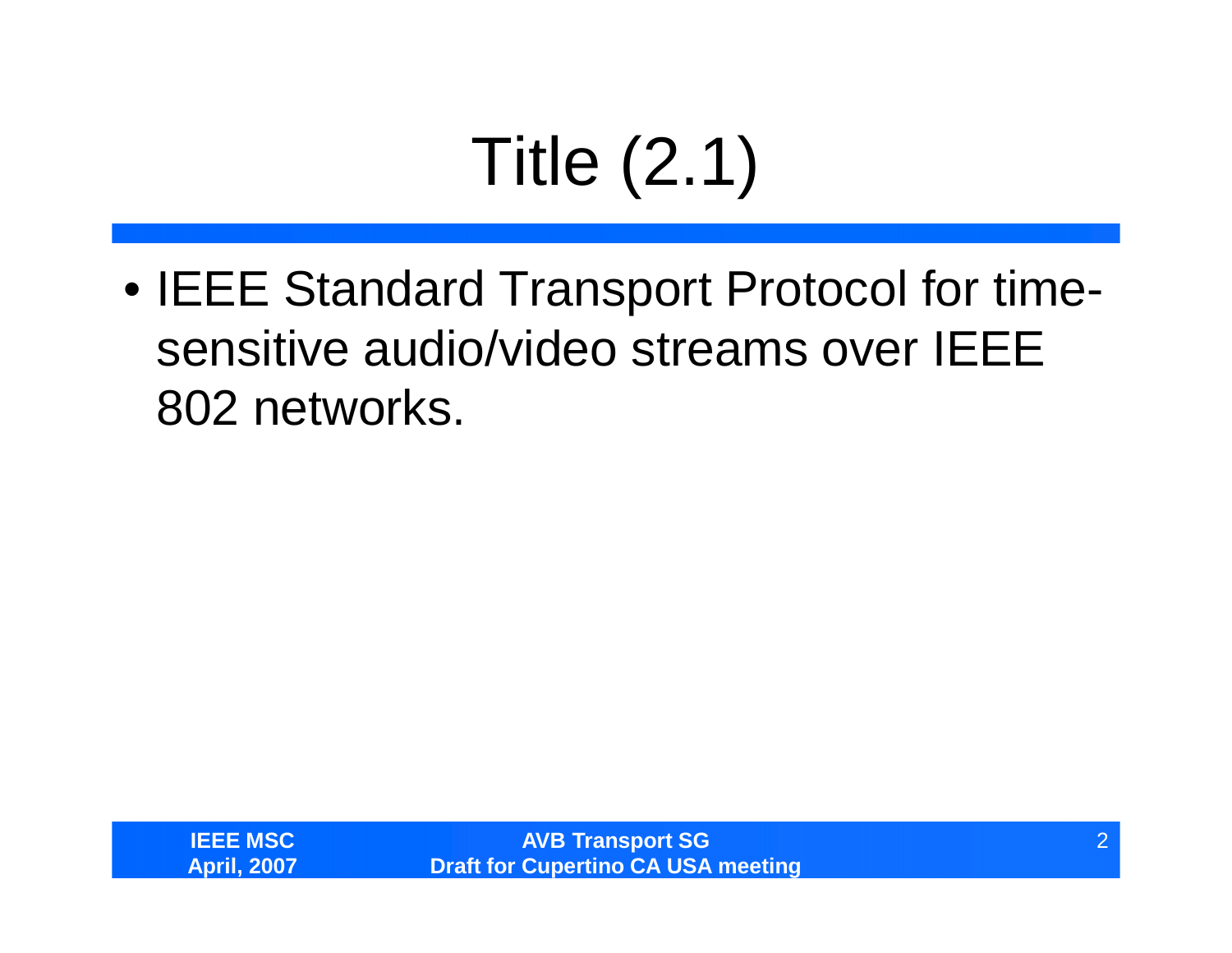# Title (2.1)

• IEEE Standard Transport Protocol for timesensitive audio/video streams over IEEE 802 networks.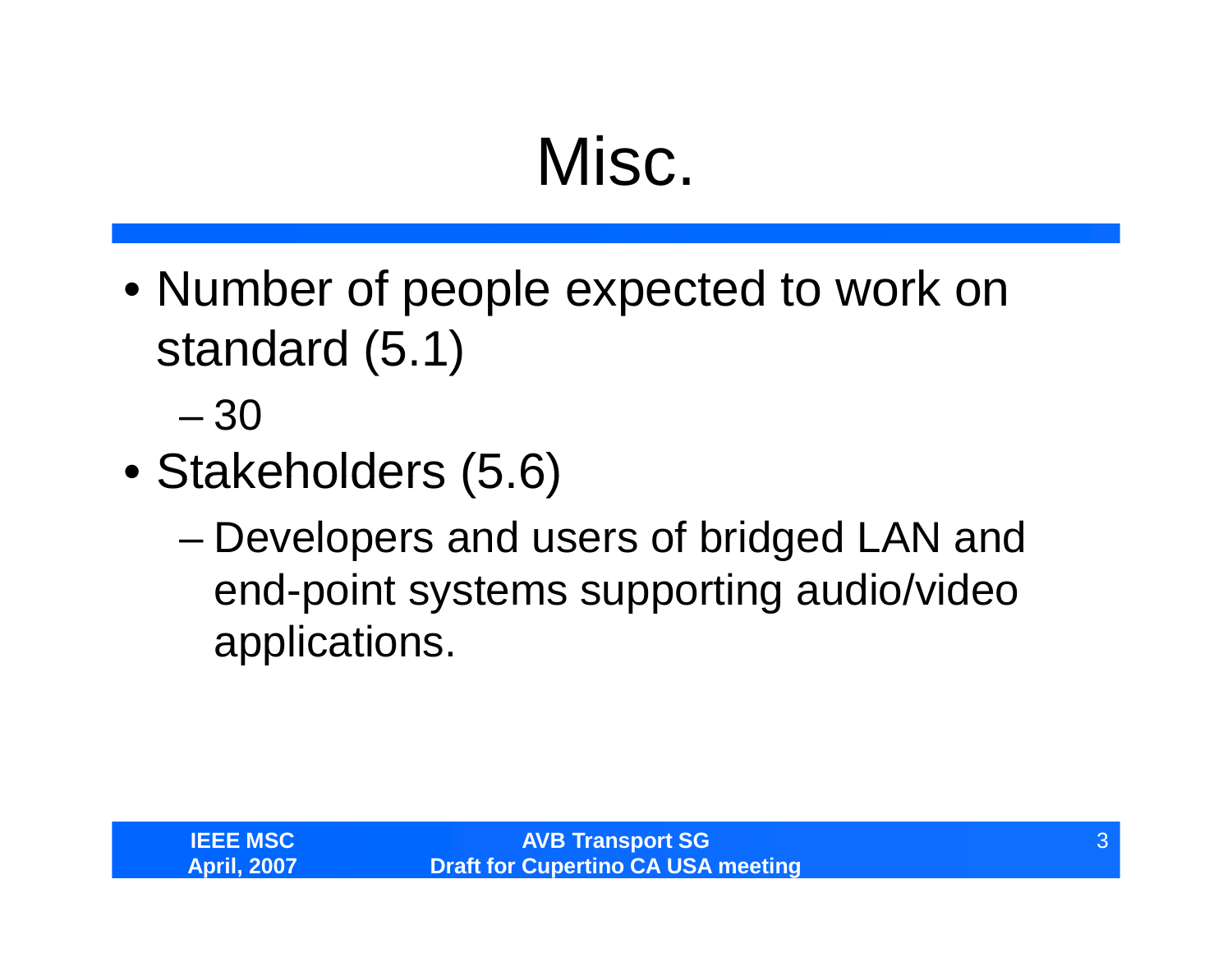#### Misc.

• Number of people expected to work on standard (5.1)

–30

- Stakeholders (5.6)
	- –Developers and users of bridged LAN and end-point systems supporting audio/video applications.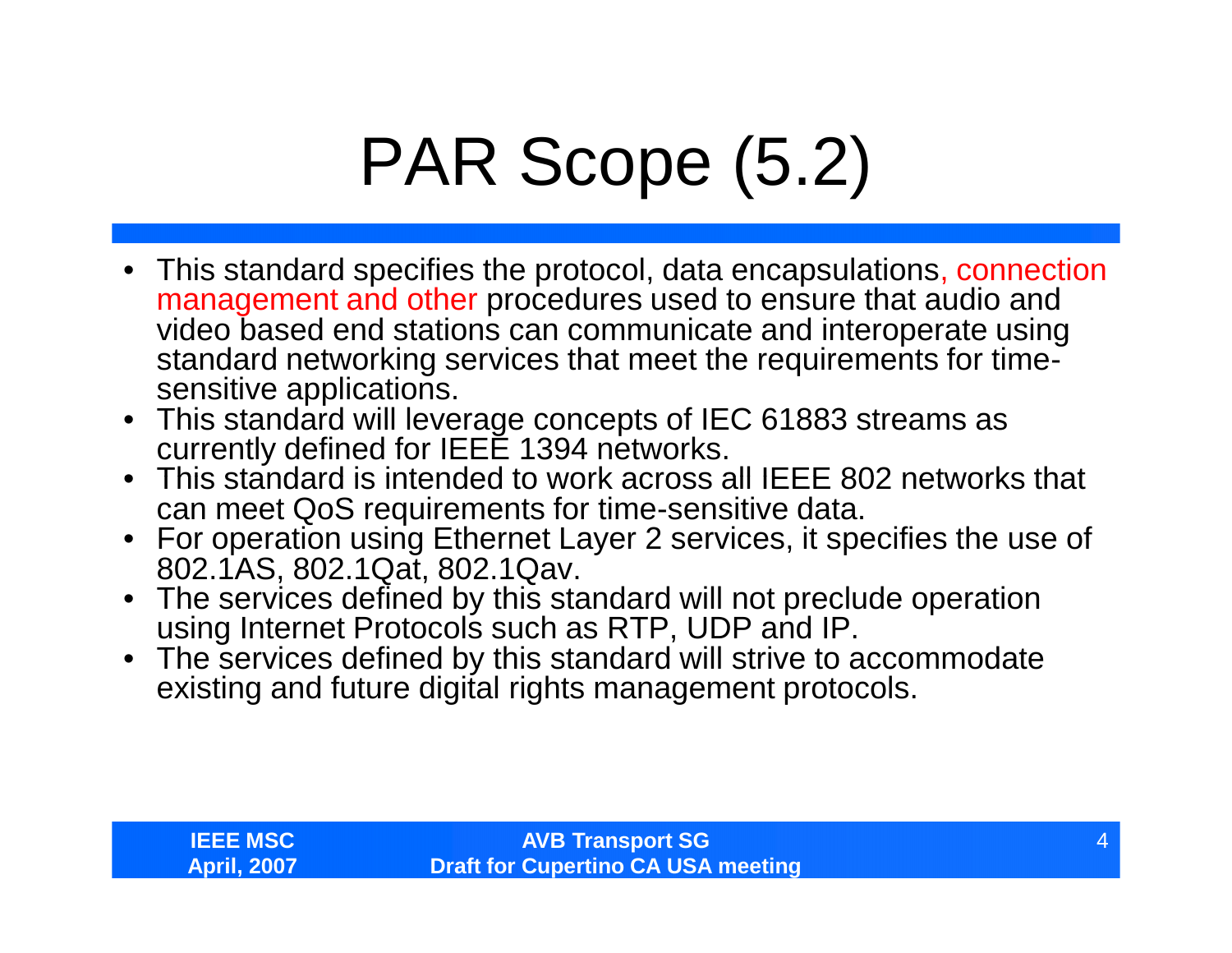# PAR Scope (5.2)

- This standard specifies the protocol, data encapsulations, connection management and other procedures used to ensure that audio and video based end stations can communicate and interoperate using standard networking services that meet the requirements for timesensitive applications.
- This standard will leverage concepts of IEC 61883 streams as currently defined for IEEE 1394 networks.
- This standard is intended to work across all IEEE 802 networks that can meet QoS requirements for time-sensitive data.
- For operation using Ethernet Layer 2 services, it specifies the use of 802.1AS, 802.1Qat, 802.1Qav.
- The services defined by this standard will not preclude operation using Internet Protocols such as RTP, UDP and IP.
- The services defined by this standard will strive to accommodate existing and future digital rights management protocols.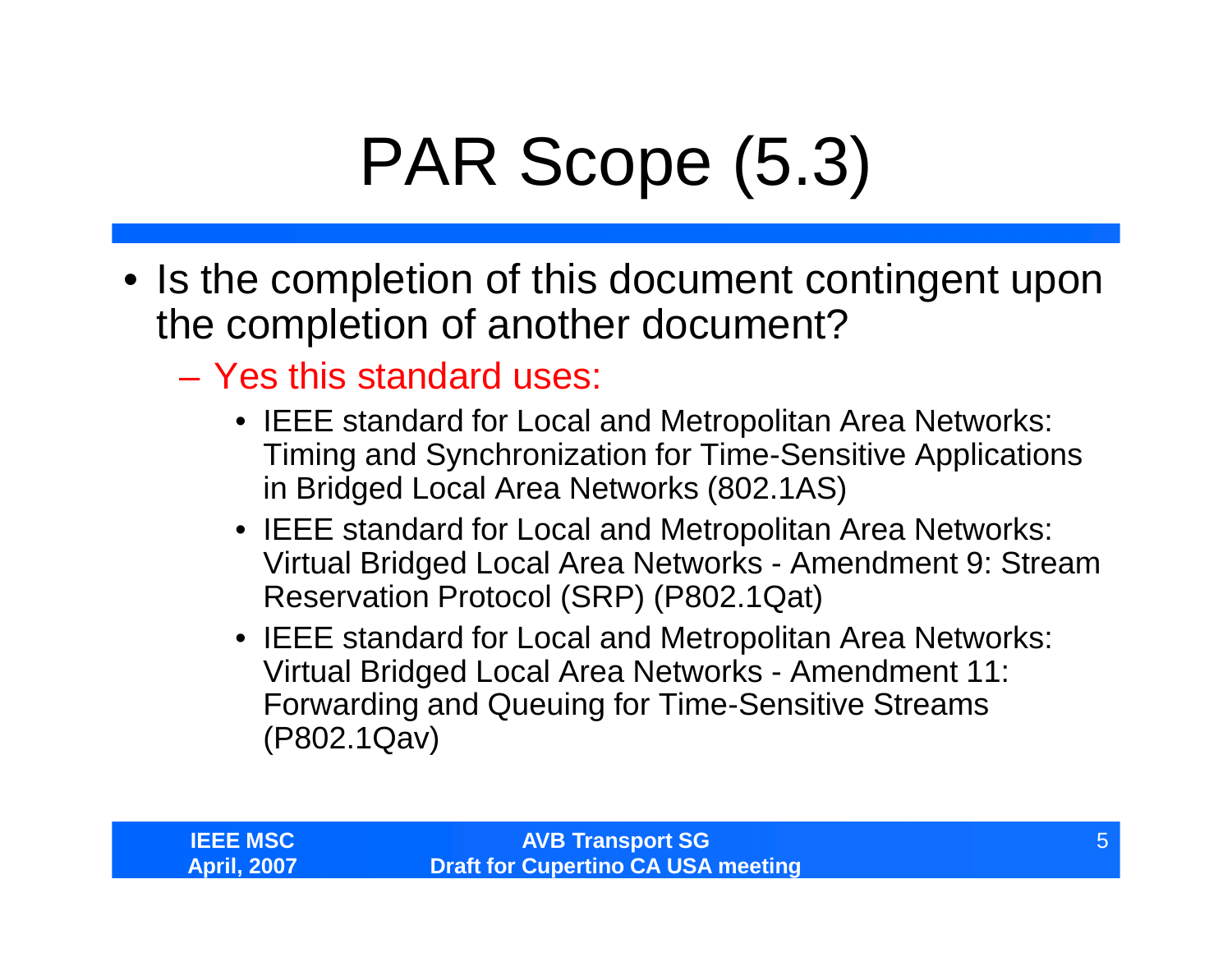# PAR Scope (5.3)

- Is the completion of this document contingent upon the completion of another document?
	- Yes this standard uses:
		- •IEEE standard for Local and Metropolitan Area Networks: Timing and Synchronization for Time-Sensitive Applications in Bridged Local Area Networks (802.1AS)
		- •IEEE standard for Local and Metropolitan Area Networks: Virtual Bridged Local Area Networks - Amendment 9: Stream Reservation Protocol (SRP) (P802.1Qat)
		- •IEEE standard for Local and Metropolitan Area Networks: Virtual Bridged Local Area Networks - Amendment 11: Forwarding and Queuing for Time-Sensitive Streams (P802.1Qav)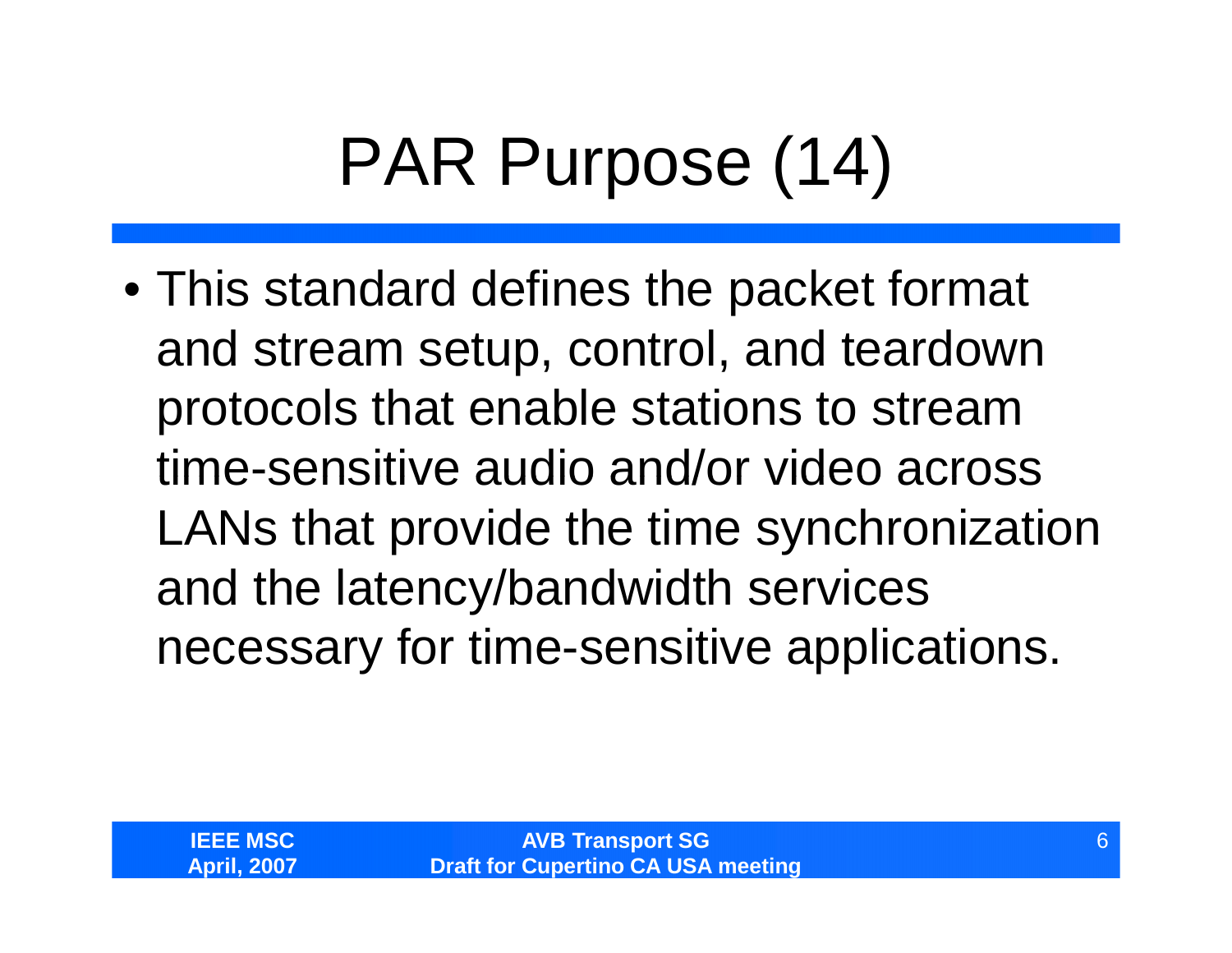# PAR Purpose (14)

•This standard defines the packet format and stream setup, control, and teardown protocols that enable stations to stream time-sensitive audio and/or video across LANs that provide the time synchronization and the latency/bandwidth services necessary for time-sensitive applications.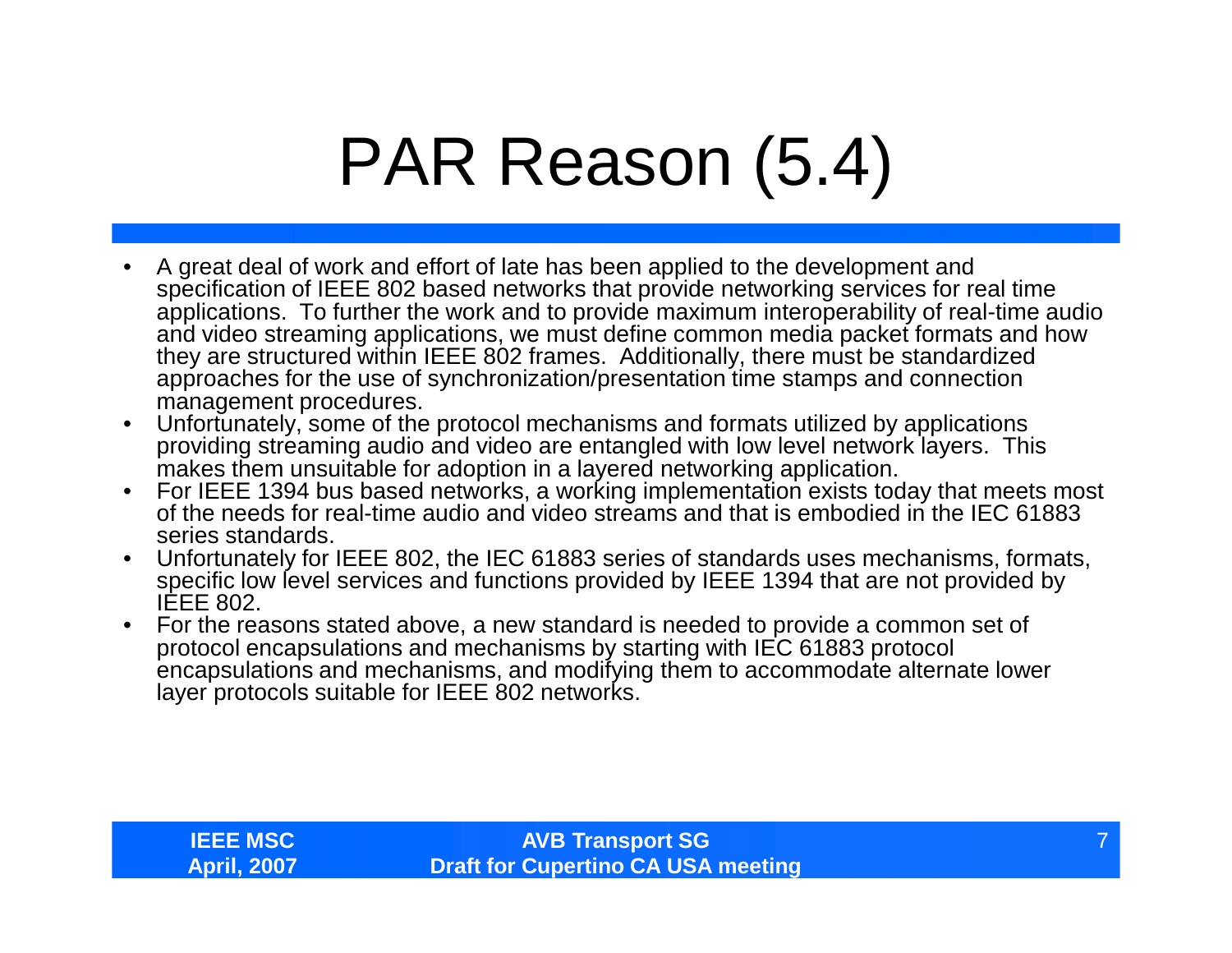### PAR Reason (5.4)

- A great deal of work and effort of late has been applied to the development and specification of IEEE 802 based networks that provide networking services for real time applications. To further the work and to provide maximum interoperability of real-time audio and video streaming applications, we must define common media packet formats and how they are structured within IEEE 802 frames. Additionally, there must be standardized approaches for the use of synchronization/presentation time stamps and connection management procedures.
- Unfortunately, some of the protocol mechanisms and formats utilized by applications providing streaming audio and video are entangled with low level network layers. This makes them unsuitable for adoption in a layered networking application.
- For IEEE 1394 bus based networks, a working implementation exists today that meets most of the needs for real-time audio and video streams and that is embodied in the IEC 61883 series standards.
- Unfortunately for IEEE 802, the IEC 61883 series of standards uses mechanisms, formats, specific low level services and functions provided by IEEE 1394 that are not provided by IEEE 802.
- For the reasons stated above, a new standard is needed to provide a common set of protocol encapsulations and mechanisms by starting with IEC 61883 protocol encapsulations and mechanisms, and modifying them to accommodate alternate lower layer protocols suitable for IEEE 802 networks.